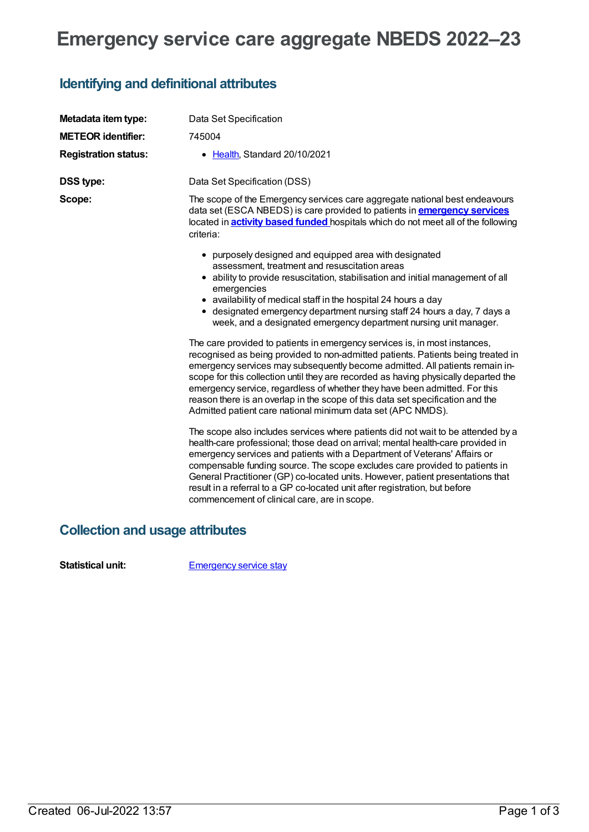# **Emergency service care aggregate NBEDS 2022–23**

### **Identifying and definitional attributes**

| Metadata item type:         | Data Set Specification                                                                                                                                                                                                                                                                                                                                                                                                                                                                                                                                               |
|-----------------------------|----------------------------------------------------------------------------------------------------------------------------------------------------------------------------------------------------------------------------------------------------------------------------------------------------------------------------------------------------------------------------------------------------------------------------------------------------------------------------------------------------------------------------------------------------------------------|
| <b>METEOR identifier:</b>   | 745004                                                                                                                                                                                                                                                                                                                                                                                                                                                                                                                                                               |
| <b>Registration status:</b> | • Health, Standard 20/10/2021                                                                                                                                                                                                                                                                                                                                                                                                                                                                                                                                        |
| <b>DSS type:</b>            | Data Set Specification (DSS)                                                                                                                                                                                                                                                                                                                                                                                                                                                                                                                                         |
| Scope:                      | The scope of the Emergency services care aggregate national best endeavours<br>data set (ESCA NBEDS) is care provided to patients in <b>emergency services</b><br>located in <b>activity based funded</b> hospitals which do not meet all of the following<br>criteria:                                                                                                                                                                                                                                                                                              |
|                             | • purposely designed and equipped area with designated<br>assessment, treatment and resuscitation areas<br>• ability to provide resuscitation, stabilisation and initial management of all<br>emergencies<br>• availability of medical staff in the hospital 24 hours a day<br>• designated emergency department nursing staff 24 hours a day, 7 days a<br>week, and a designated emergency department nursing unit manager.                                                                                                                                         |
|                             | The care provided to patients in emergency services is, in most instances,<br>recognised as being provided to non-admitted patients. Patients being treated in<br>emergency services may subsequently become admitted. All patients remain in-<br>scope for this collection until they are recorded as having physically departed the<br>emergency service, regardless of whether they have been admitted. For this<br>reason there is an overlap in the scope of this data set specification and the<br>Admitted patient care national minimum data set (APC NMDS). |
|                             | The scope also includes services where patients did not wait to be attended by a<br>health-care professional; those dead on arrival; mental health-care provided in<br>emergency services and patients with a Department of Veterans' Affairs or<br>compensable funding source. The scope excludes care provided to patients in<br>General Practitioner (GP) co-located units. However, patient presentations that<br>result in a referral to a GP co-located unit after registration, but before<br>commencement of clinical care, are in scope.                    |

#### **Collection and usage attributes**

**Statistical unit:** [Emergency](file:///content/745186) service stay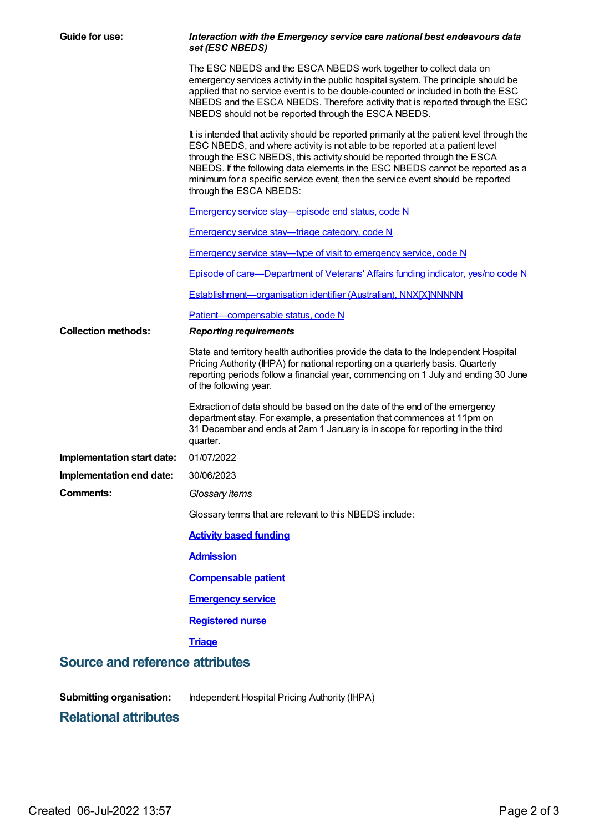| Guide for use:                                                  | Interaction with the Emergency service care national best endeavours data<br>set (ESC NBEDS)                                                                                                                                                                                                                                                                                                                                                          |  |  |
|-----------------------------------------------------------------|-------------------------------------------------------------------------------------------------------------------------------------------------------------------------------------------------------------------------------------------------------------------------------------------------------------------------------------------------------------------------------------------------------------------------------------------------------|--|--|
|                                                                 | The ESC NBEDS and the ESCA NBEDS work together to collect data on<br>emergency services activity in the public hospital system. The principle should be<br>applied that no service event is to be double-counted or included in both the ESC<br>NBEDS and the ESCA NBEDS. Therefore activity that is reported through the ESC<br>NBEDS should not be reported through the ESCA NBEDS.                                                                 |  |  |
|                                                                 | It is intended that activity should be reported primarily at the patient level through the<br>ESC NBEDS, and where activity is not able to be reported at a patient level<br>through the ESC NBEDS, this activity should be reported through the ESCA<br>NBEDS. If the following data elements in the ESC NBEDS cannot be reported as a<br>minimum for a specific service event, then the service event should be reported<br>through the ESCA NBEDS: |  |  |
|                                                                 | Emergency service stay-episode end status, code N                                                                                                                                                                                                                                                                                                                                                                                                     |  |  |
|                                                                 | <b>Emergency service stay—triage category, code N</b>                                                                                                                                                                                                                                                                                                                                                                                                 |  |  |
|                                                                 | Emergency service stay—type of visit to emergency service, code N                                                                                                                                                                                                                                                                                                                                                                                     |  |  |
|                                                                 | Episode of care—Department of Veterans' Affairs funding indicator, yes/no code N                                                                                                                                                                                                                                                                                                                                                                      |  |  |
|                                                                 | Establishment-organisation identifier (Australian), NNX[X]NNNNN                                                                                                                                                                                                                                                                                                                                                                                       |  |  |
|                                                                 | Patient-compensable status, code N                                                                                                                                                                                                                                                                                                                                                                                                                    |  |  |
| <b>Collection methods:</b>                                      | <b>Reporting requirements</b>                                                                                                                                                                                                                                                                                                                                                                                                                         |  |  |
|                                                                 | State and territory health authorities provide the data to the Independent Hospital<br>Pricing Authority (IHPA) for national reporting on a quarterly basis. Quarterly<br>reporting periods follow a financial year, commencing on 1 July and ending 30 June<br>of the following year.                                                                                                                                                                |  |  |
|                                                                 | Extraction of data should be based on the date of the end of the emergency<br>department stay. For example, a presentation that commences at 11pm on<br>31 December and ends at 2am 1 January is in scope for reporting in the third<br>quarter.                                                                                                                                                                                                      |  |  |
| Implementation start date:                                      | 01/07/2022                                                                                                                                                                                                                                                                                                                                                                                                                                            |  |  |
| Implementation end date:                                        | 30/06/2023                                                                                                                                                                                                                                                                                                                                                                                                                                            |  |  |
| <b>Comments:</b>                                                | Glossary items                                                                                                                                                                                                                                                                                                                                                                                                                                        |  |  |
|                                                                 | Glossary terms that are relevant to this NBEDS include:                                                                                                                                                                                                                                                                                                                                                                                               |  |  |
|                                                                 | <b>Activity based funding</b>                                                                                                                                                                                                                                                                                                                                                                                                                         |  |  |
|                                                                 | <b>Admission</b>                                                                                                                                                                                                                                                                                                                                                                                                                                      |  |  |
|                                                                 | <b>Compensable patient</b>                                                                                                                                                                                                                                                                                                                                                                                                                            |  |  |
|                                                                 | <b>Emergency service</b>                                                                                                                                                                                                                                                                                                                                                                                                                              |  |  |
|                                                                 | <b>Registered nurse</b>                                                                                                                                                                                                                                                                                                                                                                                                                               |  |  |
|                                                                 | <b>Triage</b>                                                                                                                                                                                                                                                                                                                                                                                                                                         |  |  |
| <b>Source and reference attributes</b>                          |                                                                                                                                                                                                                                                                                                                                                                                                                                                       |  |  |
| <b>Submitting organisation:</b><br><b>Relational attributes</b> | Independent Hospital Pricing Authority (IHPA)                                                                                                                                                                                                                                                                                                                                                                                                         |  |  |